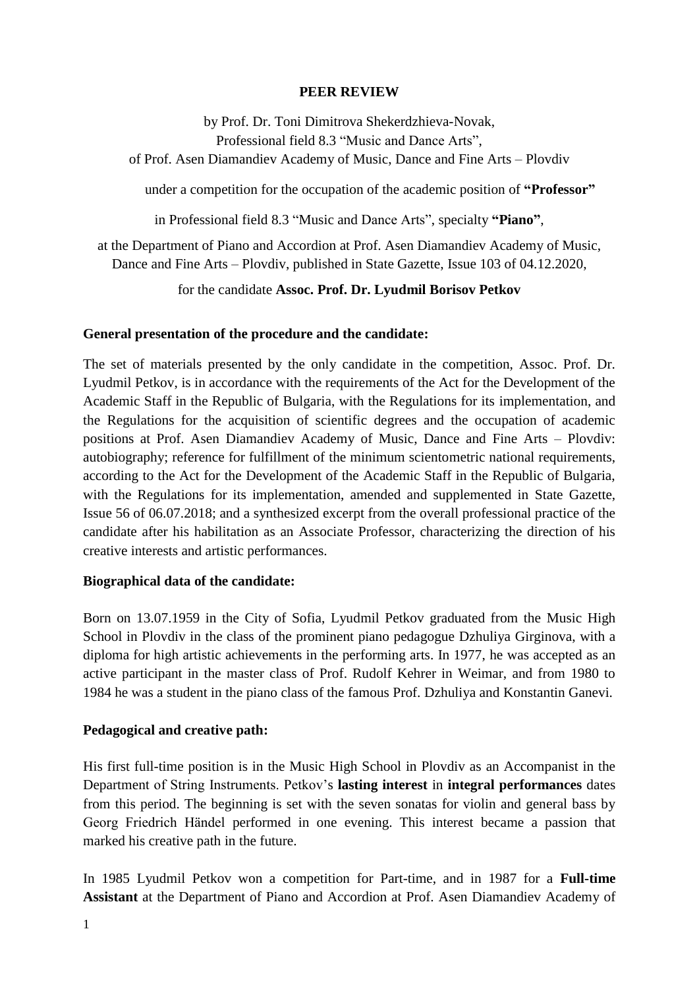### **PEER REVIEW**

by Prof. Dr. Toni Dimitrova Shekerdzhieva-Novak, Professional field 8.3 "Music and Dance Arts", of Prof. Asen Diamandiev Academy of Music, Dance and Fine Arts – Plovdiv

under a competition for the occupation of the academic position of **"Professor"**

in Professional field 8.3 "Music and Dance Arts", specialty **"Piano"**,

at the Department of Piano and Accordion at Prof. Asen Diamandiev Academy of Music, Dance and Fine Arts – Plovdiv, published in State Gazette, Issue 103 of 04.12.2020,

for the candidate **Assoc. Prof. Dr. Lyudmil Borisov Petkov**

#### **General presentation of the procedure and the candidate:**

The set of materials presented by the only candidate in the competition, Assoc. Prof. Dr. Lyudmil Petkov, is in accordance with the requirements of the Act for the Development of the Academic Staff in the Republic of Bulgaria, with the Regulations for its implementation, and the Regulations for the acquisition of scientific degrees and the occupation of academic positions at Prof. Asen Diamandiev Academy of Music, Dance and Fine Arts – Plovdiv: autobiography; reference for fulfillment of the minimum scientometric national requirements, according to the Act for the Development of the Academic Staff in the Republic of Bulgaria, with the Regulations for its implementation, amended and supplemented in State Gazette, Issue 56 of 06.07.2018; and a synthesized excerpt from the overall professional practice of the candidate after his habilitation as an Associate Professor, characterizing the direction of his creative interests and artistic performances.

#### **Biographical data of the candidate:**

Born on 13.07.1959 in the City of Sofia, Lyudmil Petkov graduated from the Music High School in Plovdiv in the class of the prominent piano pedagogue Dzhuliya Girginova, with a diploma for high artistic achievements in the performing arts. In 1977, he was accepted as an active participant in the master class of Prof. Rudolf Kehrer in Weimar, and from 1980 to 1984 he was a student in the piano class of the famous Prof. Dzhuliya and Konstantin Ganevi.

## **Pedagogical and creative path:**

His first full-time position is in the Music High School in Plovdiv as an Accompanist in the Department of String Instruments. Petkov's **lasting interest** in **integral performances** dates from this period. The beginning is set with the seven sonatas for violin and general bass by Georg Friedrich Händel performed in one evening. This interest became a passion that marked his creative path in the future.

In 1985 Lyudmil Petkov won a competition for Part-time, and in 1987 for a **Full-time Assistant** at the Department of Piano and Accordion at Prof. Asen Diamandiev Academy of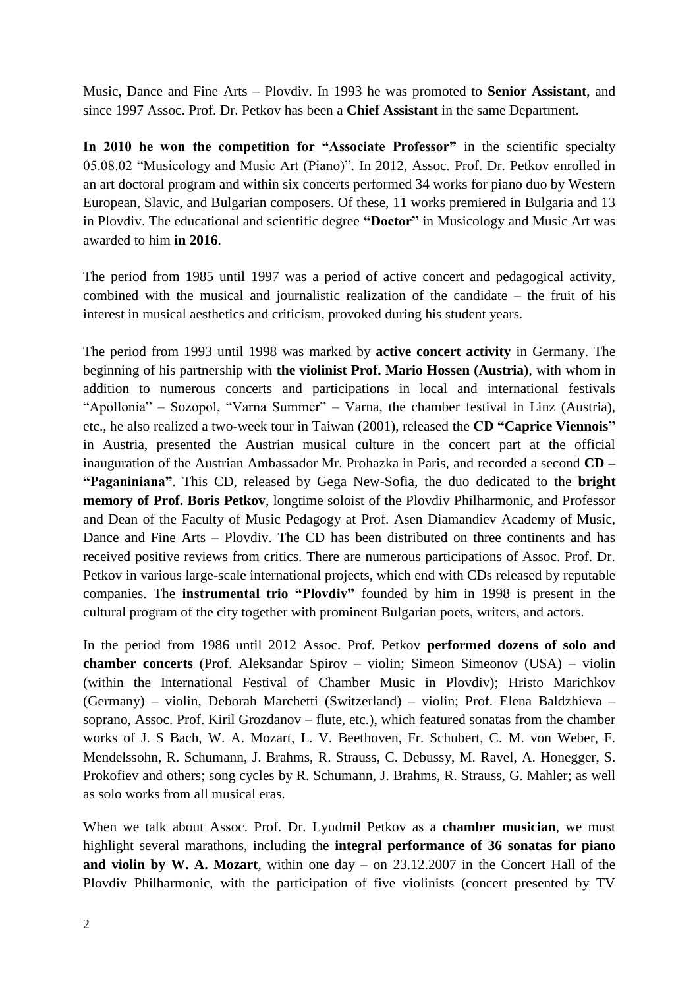Music, Dance and Fine Arts – Plovdiv. In 1993 he was promoted to **Senior Assistant**, and since 1997 Assoc. Prof. Dr. Petkov has been a **Chief Assistant** in the same Department.

In 2010 he won the competition for "Associate Professor" in the scientific specialty 05.08.02 "Musicology and Music Art (Piano)". In 2012, Assoc. Prof. Dr. Petkov enrolled in an art doctoral program and within six concerts performed 34 works for piano duo by Western European, Slavic, and Bulgarian composers. Of these, 11 works premiered in Bulgaria and 13 in Plovdiv. The educational and scientific degree **"Doctor"** in Musicology and Music Art was awarded to him **in 2016**.

The period from 1985 until 1997 was a period of active concert and pedagogical activity, combined with the musical and journalistic realization of the candidate – the fruit of his interest in musical aesthetics and criticism, provoked during his student years.

The period from 1993 until 1998 was marked by **active concert activity** in Germany. The beginning of his partnership with **the violinist Prof. Mario Hossen (Austria)**, with whom in addition to numerous concerts and participations in local and international festivals "Apollonia" – Sozopol, "Varna Summer" – Varna, the chamber festival in Linz (Austria), etc., he also realized a two-week tour in Taiwan (2001), released the **CD "Caprice Viennois"** in Austria, presented the Austrian musical culture in the concert part at the official inauguration of the Austrian Ambassador Mr. Prohazka in Paris, and recorded a second **CD – "Paganiniana"**. This CD, released by Gega New-Sofia, the duo dedicated to the **bright memory of Prof. Boris Petkov**, longtime soloist of the Plovdiv Philharmonic, and Professor and Dean of the Faculty of Music Pedagogy at Prof. Asen Diamandiev Academy of Music, Dance and Fine Arts – Plovdiv. The CD has been distributed on three continents and has received positive reviews from critics. There are numerous participations of Assoc. Prof. Dr. Petkov in various large-scale international projects, which end with CDs released by reputable companies. The **instrumental trio "Plovdiv"** founded by him in 1998 is present in the cultural program of the city together with prominent Bulgarian poets, writers, and actors.

In the period from 1986 until 2012 Assoc. Prof. Petkov **performed dozens of solo and chamber concerts** (Prof. Aleksandar Spirov – violin; Simeon Simeonov (USA) – violin (within the International Festival of Chamber Music in Plovdiv); Hristo Marichkov (Germany) – violin, Deborah Marchetti (Switzerland) – violin; Prof. Elena Baldzhieva – soprano, Assoc. Prof. Kiril Grozdanov – flute, etc.), which featured sonatas from the chamber works of J. S Bach, W. A. Mozart, L. V. Beethoven, Fr. Schubert, C. M. von Weber, F. Mendelssohn, R. Schumann, J. Brahms, R. Strauss, C. Debussy, M. Ravel, A. Honegger, S. Prokofiev and others; song cycles by R. Schumann, J. Brahms, R. Strauss, G. Mahler; as well as solo works from all musical eras.

When we talk about Assoc. Prof. Dr. Lyudmil Petkov as a **chamber musician**, we must highlight several marathons, including the **integral performance of 36 sonatas for piano and violin by W. A. Mozart**, within one day – on 23.12.2007 in the Concert Hall of the Plovdiv Philharmonic, with the participation of five violinists (concert presented by TV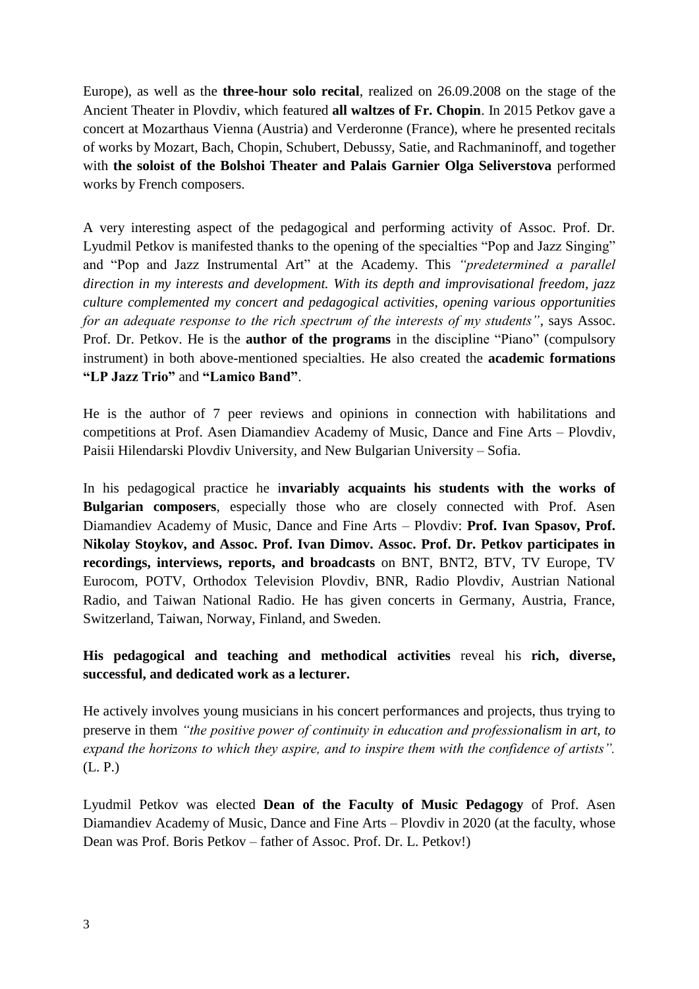Europe), as well as the **three-hour solo recital**, realized on 26.09.2008 on the stage of the Ancient Theater in Plovdiv, which featured **all waltzes of Fr. Chopin**. In 2015 Petkov gave a concert at Mozarthaus Vienna (Austria) and Verderonne (France), where he presented recitals of works by Mozart, Bach, Chopin, Schubert, Debussy, Satie, and Rachmaninoff, and together with **the soloist of the Bolshoi Theater and Palais Garnier Olga Seliverstova** performed works by French composers.

A very interesting aspect of the pedagogical and performing activity of Assoc. Prof. Dr. Lyudmil Petkov is manifested thanks to the opening of the specialties "Pop and Jazz Singing" and "Pop and Jazz Instrumental Art" at the Academy. This *"predetermined a parallel direction in my interests and development. With its depth and improvisational freedom, jazz culture complemented my concert and pedagogical activities, opening various opportunities for an adequate response to the rich spectrum of the interests of my students"*, says Assoc. Prof. Dr. Petkov. He is the **author of the programs** in the discipline "Piano" (compulsory instrument) in both above-mentioned specialties. He also created the **academic formations "LP Jazz Trio"** and **"Lamico Band"**.

He is the author of 7 peer reviews and opinions in connection with habilitations and competitions at Prof. Asen Diamandiev Academy of Music, Dance and Fine Arts – Plovdiv, Paisii Hilendarski Plovdiv University, and New Bulgarian University – Sofia.

In his pedagogical practice he i**nvariably acquaints his students with the works of Bulgarian composers**, especially those who are closely connected with Prof. Asen Diamandiev Academy of Music, Dance and Fine Arts – Plovdiv: **Prof. Ivan Spasov, Prof. Nikolay Stoykov, and Assoc. Prof. Ivan Dimov. Assoc. Prof. Dr. Petkov participates in recordings, interviews, reports, and broadcasts** on BNT, BNT2, BTV, TV Europe, TV Eurocom, POTV, Orthodox Television Plovdiv, BNR, Radio Plovdiv, Austrian National Radio, and Taiwan National Radio. He has given concerts in Germany, Austria, France, Switzerland, Taiwan, Norway, Finland, and Sweden.

# **His pedagogical and teaching and methodical activities** reveal his **rich, diverse, successful, and dedicated work as a lecturer.**

He actively involves young musicians in his concert performances and projects, thus trying to preserve in them *"the positive power of continuity in education and professionalism in art, to expand the horizons to which they aspire, and to inspire them with the confidence of artists".* (L. P.)

Lyudmil Petkov was elected **Dean of the Faculty of Music Pedagogy** of Prof. Asen Diamandiev Academy of Music, Dance and Fine Arts – Plovdiv in 2020 (at the faculty, whose Dean was Prof. Boris Petkov – father of Assoc. Prof. Dr. L. Petkov!)